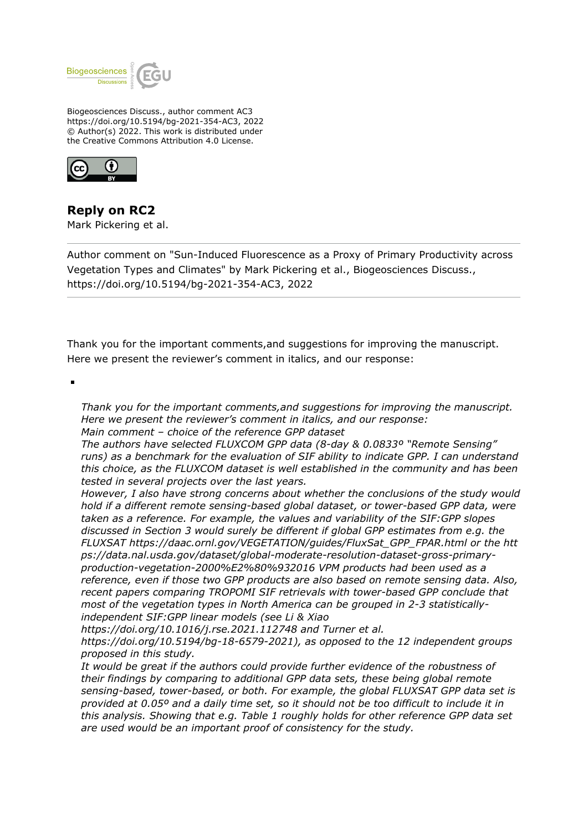

Biogeosciences Discuss., author comment AC3 https://doi.org/10.5194/bg-2021-354-AC3, 2022 © Author(s) 2022. This work is distributed under the Creative Commons Attribution 4.0 License.



**Reply on RC2** Mark Pickering et al.

Author comment on "Sun-Induced Fluorescence as a Proxy of Primary Productivity across Vegetation Types and Climates" by Mark Pickering et al., Biogeosciences Discuss., https://doi.org/10.5194/bg-2021-354-AC3, 2022

Thank you for the important comments,and suggestions for improving the manuscript. Here we present the reviewer's comment in italics, and our response:

*Thank you for the important comments,and suggestions for improving the manuscript. Here we present the reviewer's comment in italics, and our response:*

*Main comment – choice of the reference GPP dataset*

*The authors have selected FLUXCOM GPP data (8-day & 0.0833º "Remote Sensing" runs) as a benchmark for the evaluation of SIF ability to indicate GPP. I can understand this choice, as the FLUXCOM dataset is well established in the community and has been tested in several projects over the last years.*

*However, I also have strong concerns about whether the conclusions of the study would hold if a different remote sensing-based global dataset, or tower-based GPP data, were taken as a reference. For example, the values and variability of the SIF:GPP slopes discussed in Section 3 would surely be different if global GPP estimates from e.g. the FLUXSAT https://daac.ornl.gov/VEGETATION/guides/FluxSat\_GPP\_FPAR.html or the htt ps://data.nal.usda.gov/dataset/global-moderate-resolution-dataset-gross-primaryproduction-vegetation-2000%E2%80%932016 VPM products had been used as a reference, even if those two GPP products are also based on remote sensing data. Also, recent papers comparing TROPOMI SIF retrievals with tower-based GPP conclude that most of the vegetation types in North America can be grouped in 2-3 statisticallyindependent SIF:GPP linear models (see Li & Xiao*

*https://doi.org/10.1016/j.rse.2021.112748 and Turner et al.*

*https://doi.org/10.5194/bg-18-6579-2021), as opposed to the 12 independent groups proposed in this study.*

*It would be great if the authors could provide further evidence of the robustness of their findings by comparing to additional GPP data sets, these being global remote sensing-based, tower-based, or both. For example, the global FLUXSAT GPP data set is provided at 0.05º and a daily time set, so it should not be too difficult to include it in this analysis. Showing that e.g. Table 1 roughly holds for other reference GPP data set are used would be an important proof of consistency for the study.*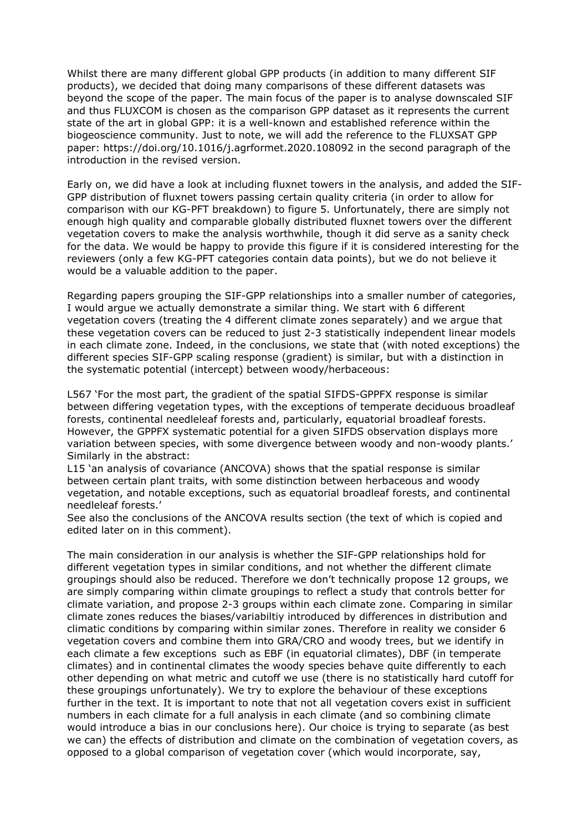Whilst there are many different global GPP products (in addition to many different SIF products), we decided that doing many comparisons of these different datasets was beyond the scope of the paper. The main focus of the paper is to analyse downscaled SIF and thus FLUXCOM is chosen as the comparison GPP dataset as it represents the current state of the art in global GPP: it is a well-known and established reference within the biogeoscience community. Just to note, we will add the reference to the FLUXSAT GPP paper: https://doi.org/10.1016/j.agrformet.2020.108092 in the second paragraph of the introduction in the revised version.

Early on, we did have a look at including fluxnet towers in the analysis, and added the SIF-GPP distribution of fluxnet towers passing certain quality criteria (in order to allow for comparison with our KG-PFT breakdown) to figure 5. Unfortunately, there are simply not enough high quality and comparable globally distributed fluxnet towers over the different vegetation covers to make the analysis worthwhile, though it did serve as a sanity check for the data. We would be happy to provide this figure if it is considered interesting for the reviewers (only a few KG-PFT categories contain data points), but we do not believe it would be a valuable addition to the paper.

Regarding papers grouping the SIF-GPP relationships into a smaller number of categories, I would argue we actually demonstrate a similar thing. We start with 6 different vegetation covers (treating the 4 different climate zones separately) and we argue that these vegetation covers can be reduced to just 2-3 statistically independent linear models in each climate zone. Indeed, in the conclusions, we state that (with noted exceptions) the different species SIF-GPP scaling response (gradient) is similar, but with a distinction in the systematic potential (intercept) between woody/herbaceous:

L567 'For the most part, the gradient of the spatial SIFDS-GPPFX response is similar between differing vegetation types, with the exceptions of temperate deciduous broadleaf forests, continental needleleaf forests and, particularly, equatorial broadleaf forests. However, the GPPFX systematic potential for a given SIFDS observation displays more variation between species, with some divergence between woody and non-woody plants.' Similarly in the abstract:

L15 'an analysis of covariance (ANCOVA) shows that the spatial response is similar between certain plant traits, with some distinction between herbaceous and woody vegetation, and notable exceptions, such as equatorial broadleaf forests, and continental needleleaf forests.'

See also the conclusions of the ANCOVA results section (the text of which is copied and edited later on in this comment).

The main consideration in our analysis is whether the SIF-GPP relationships hold for different vegetation types in similar conditions, and not whether the different climate groupings should also be reduced. Therefore we don't technically propose 12 groups, we are simply comparing within climate groupings to reflect a study that controls better for climate variation, and propose 2-3 groups within each climate zone. Comparing in similar climate zones reduces the biases/variabiltiy introduced by differences in distribution and climatic conditions by comparing within similar zones. Therefore in reality we consider 6 vegetation covers and combine them into GRA/CRO and woody trees, but we identify in each climate a few exceptions such as EBF (in equatorial climates), DBF (in temperate climates) and in continental climates the woody species behave quite differently to each other depending on what metric and cutoff we use (there is no statistically hard cutoff for these groupings unfortunately). We try to explore the behaviour of these exceptions further in the text. It is important to note that not all vegetation covers exist in sufficient numbers in each climate for a full analysis in each climate (and so combining climate would introduce a bias in our conclusions here). Our choice is trying to separate (as best we can) the effects of distribution and climate on the combination of vegetation covers, as opposed to a global comparison of vegetation cover (which would incorporate, say,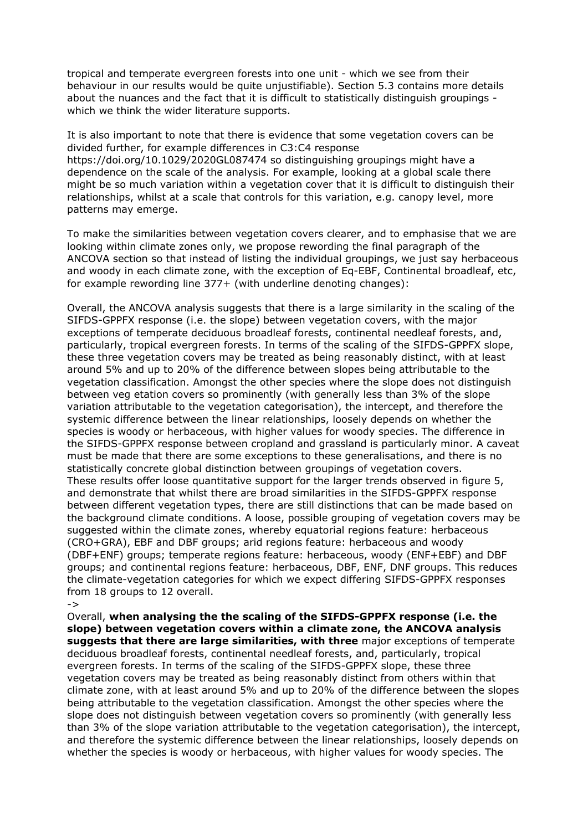tropical and temperate evergreen forests into one unit - which we see from their behaviour in our results would be quite unjustifiable). Section 5.3 contains more details about the nuances and the fact that it is difficult to statistically distinguish groupings which we think the wider literature supports.

It is also important to note that there is evidence that some vegetation covers can be divided further, for example differences in C3:C4 response https://doi.org/10.1029/2020GL087474 so distinguishing groupings might have a dependence on the scale of the analysis. For example, looking at a global scale there might be so much variation within a vegetation cover that it is difficult to distinguish their relationships, whilst at a scale that controls for this variation, e.g. canopy level, more patterns may emerge.

To make the similarities between vegetation covers clearer, and to emphasise that we are looking within climate zones only, we propose rewording the final paragraph of the ANCOVA section so that instead of listing the individual groupings, we just say herbaceous and woody in each climate zone, with the exception of Eq-EBF, Continental broadleaf, etc, for example rewording line 377+ (with underline denoting changes):

Overall, the ANCOVA analysis suggests that there is a large similarity in the scaling of the SIFDS-GPPFX response (i.e. the slope) between vegetation covers, with the major exceptions of temperate deciduous broadleaf forests, continental needleaf forests, and, particularly, tropical evergreen forests. In terms of the scaling of the SIFDS-GPPFX slope, these three vegetation covers may be treated as being reasonably distinct, with at least around 5% and up to 20% of the difference between slopes being attributable to the vegetation classification. Amongst the other species where the slope does not distinguish between veg etation covers so prominently (with generally less than 3% of the slope variation attributable to the vegetation categorisation), the intercept, and therefore the systemic difference between the linear relationships, loosely depends on whether the species is woody or herbaceous, with higher values for woody species. The difference in the SIFDS-GPPFX response between cropland and grassland is particularly minor. A caveat must be made that there are some exceptions to these generalisations, and there is no statistically concrete global distinction between groupings of vegetation covers. These results offer loose quantitative support for the larger trends observed in figure 5, and demonstrate that whilst there are broad similarities in the SIFDS-GPPFX response between different vegetation types, there are still distinctions that can be made based on the background climate conditions. A loose, possible grouping of vegetation covers may be suggested within the climate zones, whereby equatorial regions feature: herbaceous (CRO+GRA), EBF and DBF groups; arid regions feature: herbaceous and woody (DBF+ENF) groups; temperate regions feature: herbaceous, woody (ENF+EBF) and DBF groups; and continental regions feature: herbaceous, DBF, ENF, DNF groups. This reduces the climate-vegetation categories for which we expect differing SIFDS-GPPFX responses from 18 groups to 12 overall.

->

Overall, **when analysing the the scaling of the SIFDS-GPPFX response (i.e. the slope) between vegetation covers within a climate zone, the ANCOVA analysis suggests that there are large similarities, with three** major exceptions of temperate deciduous broadleaf forests, continental needleaf forests, and, particularly, tropical evergreen forests. In terms of the scaling of the SIFDS-GPPFX slope, these three vegetation covers may be treated as being reasonably distinct from others within that climate zone, with at least around 5% and up to 20% of the difference between the slopes being attributable to the vegetation classification. Amongst the other species where the slope does not distinguish between vegetation covers so prominently (with generally less than 3% of the slope variation attributable to the vegetation categorisation), the intercept, and therefore the systemic difference between the linear relationships, loosely depends on whether the species is woody or herbaceous, with higher values for woody species. The